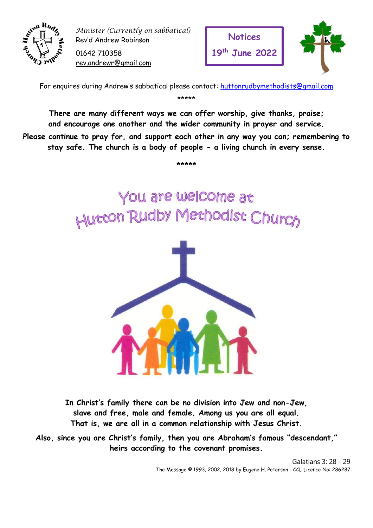

*Minister (Currently on sabbatical)* Rev'd Andrew Robinson

01642 710358 [rev.andrewr@gmail.com](mailto:rev.andrewr@gmail.com)





For enquires during Andrew's sabbatical please contact: [huttonrudbymethodists@gmail.com](mailto:huttonrudbymethodists@gmail.com) \*\*\*\*\*

**There are many different ways we can offer worship, give thanks, praise; and encourage one another and the wider community in prayer and service.**

**Please continue to pray for, and support each other in any way you can; remembering to stay safe. The church is a body of people - a living church in every sense.**

**\*\*\*\*\***

You are welcome at Hutton Rudby Methodist Church



**In Christ's family there can be no division into Jew and non-Jew, slave and free, male and female. Among us you are all equal. That is, we are all in a common relationship with Jesus Christ.** 

**Also, since you are Christ's family, then you are Abraham's famous "descendant," heirs according to the covenant promises.**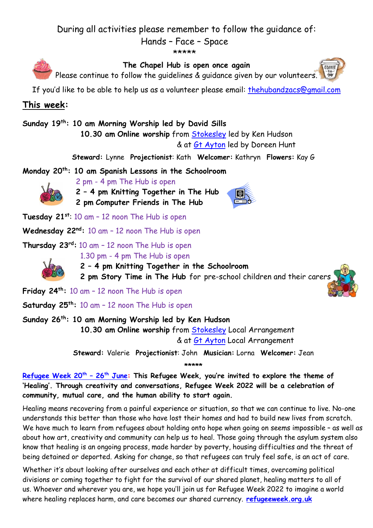## During all activities please remember to follow the guidance of:

Hands – Face – Space



**Friday 24th:** 10 am – 12 noon The Hub is open

**Saturday 25th:** 10 am – 12 noon The Hub is open

**Sunday 26th: 10 am Morning Worship led by Ken Hudson**

**10.30 am Online worship** from [Stokesley](https://www.youtube.com/channel/UC48Ec2k4fvRdos4HA7FTlIg) Local Arrangement & at [Gt Ayton](https://www.youtube.com/greataytonmethodistchurch/live) Local Arrangement

**Steward:** Valerie **Projectionist**: John **Musician:** Lorna **Welcomer:** Jean **\*\*\*\*\***

**[Refugee Week 20](https://www.allwecan.org.uk/prayers-for-refugees/)th – 26th June: This Refugee Week, you're invited to explore the theme of 'Healing'. Through creativity and conversations, Refugee Week 2022 will be a celebration of community, mutual care, and the human ability to start again.**

Healing means recovering from a painful experience or situation, so that we can continue to live. No-one understands this better than those who have lost their homes and had to build new lives from scratch. We have much to learn from refugees about holding onto hope when going on seems impossible - as well as about how art, creativity and community can help us to heal. Those going through the asylum system also know that healing is an ongoing process, made harder by poverty, housing difficulties and the threat of being detained or deported. Asking for change, so that refugees can truly feel safe, is an act of care.

Whether it's about looking after ourselves and each other at difficult times, overcoming political divisions or coming together to fight for the survival of our shared planet, healing matters to all of us. Whoever and wherever you are, we hope you'll join us for Refugee Week 2022 to imagine a world where healing replaces harm, and care becomes our shared currency. **[refugeeweek.org.uk](https://refugeeweek.org.uk/)**

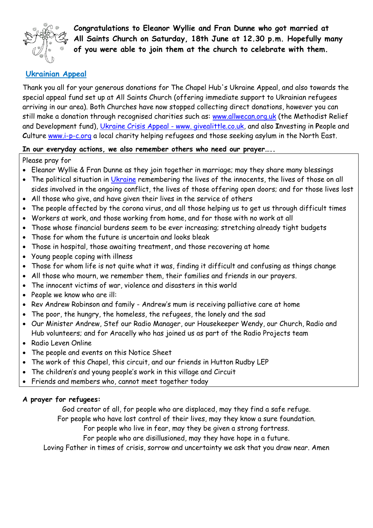

**Congratulations to Eleanor Wyllie and Fran Dunne who got married at All Saints Church on Saturday, 18th June at 12.30 p.m. Hopefully many of you were able to join them at the church to celebrate with them.** 

## **Ukrainian Appeal**

Thank you all for your generous donations for The Chapel Hub's Ukraine Appeal, and also towards the special appeal fund set up at All Saints Church (offering immediate support to Ukrainian refugees arriving in our area). Both Churches have now stopped collecting direct donations, however you can still make a donation through recognised charities such as: [www.allwecan.org.uk](https://www.allwecan.org.uk/donate/ukraine/) (the Methodist Relief and Development fund), [Ukraine Crisis Appeal -](file:///F:/campaigns/9a0a39db-fbb4-480d-9ae6-e3563c3fd3be) www. givealittle.co.uk, and also **I**nvesting in **P**eople and Culture [www.i-p-c.org](https://i-p-c.org/about-us/) a local charity helping refugees and those seeking asylum in the North East.

## **In our everyday actions, we also remember others who need our prayer…..**

Please pray for

- Eleanor Wyllie & Fran Dunne as they join together in marriage; may they share many blessings
- The political situation in [Ukraine](https://www.methodist.org.uk/our-faith/prayer/prayer-for-peace-in-ukraine/) remembering the lives of the innocents, the lives of those on all sides involved in the ongoing conflict, the lives of those offering open doors; and for those lives lost
- All those who give, and have given their lives in the service of others
- The people affected by the corona virus, and all those helping us to get us through difficult times
- Workers at work, and those working from home, and for those with no work at all
- Those whose financial burdens seem to be ever increasing; stretching already tight budgets
- Those for whom the future is uncertain and looks bleak
- Those in hospital, those awaiting treatment, and those recovering at home
- Young people coping with illness
- Those for whom life is not quite what it was, finding it difficult and confusing as things change
- All those who mourn, we remember them, their families and friends in our prayers.
- The innocent victims of war, violence and disasters in this world
- People we know who are ill:
- Rev Andrew Robinson and family Andrew's mum is receiving palliative care at home
- The poor, the hungry, the homeless, the refugees, the lonely and the sad
- Our Minister Andrew, Stef our Radio Manager, our Housekeeper Wendy, our Church, Radio and Hub volunteers; and for Aracelly who has joined us as part of the Radio Projects team
- Radio Leven Online
- The people and events on this Notice Sheet
- The work of this Chapel, this circuit, and our friends in Hutton Rudby LEP
- The children's and young people's work in this village and Circuit
- Friends and members who, cannot meet together today

## **A prayer for refugees:**

God creator of all, for people who are displaced, may they find a safe refuge.

For people who have lost control of their lives, may they know a sure foundation.

For people who live in fear, may they be given a strong fortress.

For people who are disillusioned, may they have hope in a future.

Loving Father in times of crisis, sorrow and uncertainty we ask that you draw near. Amen